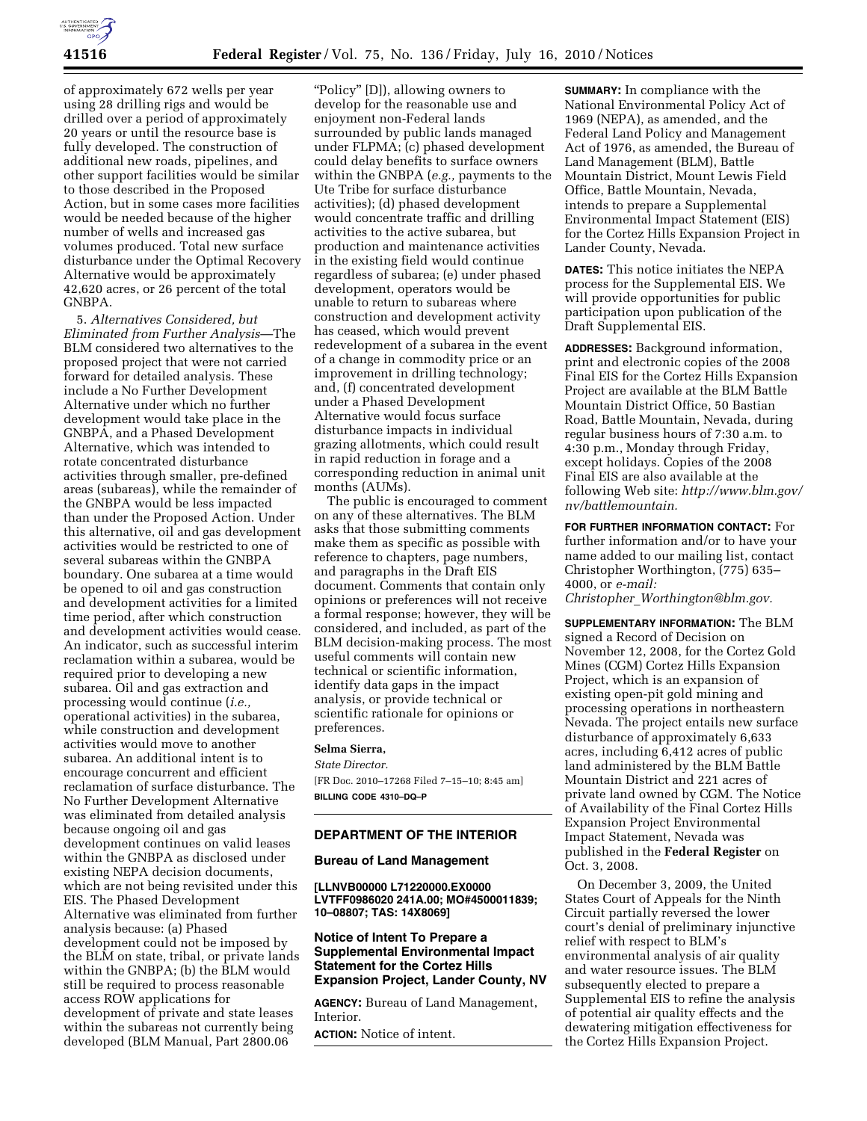

of approximately 672 wells per year using 28 drilling rigs and would be drilled over a period of approximately 20 years or until the resource base is fully developed. The construction of additional new roads, pipelines, and other support facilities would be similar to those described in the Proposed Action, but in some cases more facilities would be needed because of the higher number of wells and increased gas volumes produced. Total new surface disturbance under the Optimal Recovery Alternative would be approximately 42,620 acres, or 26 percent of the total GNBPA.

5. *Alternatives Considered, but Eliminated from Further Analysis*—The BLM considered two alternatives to the proposed project that were not carried forward for detailed analysis. These include a No Further Development Alternative under which no further development would take place in the GNBPA, and a Phased Development Alternative, which was intended to rotate concentrated disturbance activities through smaller, pre-defined areas (subareas), while the remainder of the GNBPA would be less impacted than under the Proposed Action. Under this alternative, oil and gas development activities would be restricted to one of several subareas within the GNBPA boundary. One subarea at a time would be opened to oil and gas construction and development activities for a limited time period, after which construction and development activities would cease. An indicator, such as successful interim reclamation within a subarea, would be required prior to developing a new subarea. Oil and gas extraction and processing would continue (*i.e.,*  operational activities) in the subarea, while construction and development activities would move to another subarea. An additional intent is to encourage concurrent and efficient reclamation of surface disturbance. The No Further Development Alternative was eliminated from detailed analysis because ongoing oil and gas development continues on valid leases within the GNBPA as disclosed under existing NEPA decision documents, which are not being revisited under this EIS. The Phased Development Alternative was eliminated from further analysis because: (a) Phased development could not be imposed by the BLM on state, tribal, or private lands within the GNBPA; (b) the BLM would still be required to process reasonable access ROW applications for development of private and state leases within the subareas not currently being developed (BLM Manual, Part 2800.06

''Policy'' [D]), allowing owners to develop for the reasonable use and enjoyment non-Federal lands surrounded by public lands managed under FLPMA; (c) phased development could delay benefits to surface owners within the GNBPA (*e.g.,* payments to the Ute Tribe for surface disturbance activities); (d) phased development would concentrate traffic and drilling activities to the active subarea, but production and maintenance activities in the existing field would continue regardless of subarea; (e) under phased development, operators would be unable to return to subareas where construction and development activity has ceased, which would prevent redevelopment of a subarea in the event of a change in commodity price or an improvement in drilling technology; and, (f) concentrated development under a Phased Development Alternative would focus surface disturbance impacts in individual grazing allotments, which could result in rapid reduction in forage and a corresponding reduction in animal unit months (AUMs).

The public is encouraged to comment on any of these alternatives. The BLM asks that those submitting comments make them as specific as possible with reference to chapters, page numbers, and paragraphs in the Draft EIS document. Comments that contain only opinions or preferences will not receive a formal response; however, they will be considered, and included, as part of the BLM decision-making process. The most useful comments will contain new technical or scientific information, identify data gaps in the impact analysis, or provide technical or scientific rationale for opinions or preferences.

### **Selma Sierra,**

#### *State Director.*

[FR Doc. 2010–17268 Filed 7–15–10; 8:45 am] **BILLING CODE 4310–DQ–P** 

### **DEPARTMENT OF THE INTERIOR**

### **Bureau of Land Management**

**[LLNVB00000 L71220000.EX0000 LVTFF0986020 241A.00; MO#4500011839; 10–08807; TAS: 14X8069]** 

## **Notice of Intent To Prepare a Supplemental Environmental Impact Statement for the Cortez Hills Expansion Project, Lander County, NV**

**AGENCY:** Bureau of Land Management, Interior.

**ACTION:** Notice of intent.

**SUMMARY:** In compliance with the National Environmental Policy Act of 1969 (NEPA), as amended, and the Federal Land Policy and Management Act of 1976, as amended, the Bureau of Land Management (BLM), Battle Mountain District, Mount Lewis Field Office, Battle Mountain, Nevada, intends to prepare a Supplemental Environmental Impact Statement (EIS) for the Cortez Hills Expansion Project in Lander County, Nevada.

**DATES:** This notice initiates the NEPA process for the Supplemental EIS. We will provide opportunities for public participation upon publication of the Draft Supplemental EIS.

**ADDRESSES:** Background information, print and electronic copies of the 2008 Final EIS for the Cortez Hills Expansion Project are available at the BLM Battle Mountain District Office, 50 Bastian Road, Battle Mountain, Nevada, during regular business hours of 7:30 a.m. to 4:30 p.m., Monday through Friday, except holidays. Copies of the 2008 Final EIS are also available at the following Web site: *http://www.blm.gov/ nv/battlemountain.* 

**FOR FURTHER INFORMATION CONTACT:** For further information and/or to have your name added to our mailing list, contact Christopher Worthington, (775) 635– 4000, or *e-mail:* 

*Christopher*\_*Worthington@blm.gov.* 

**SUPPLEMENTARY INFORMATION:** The BLM signed a Record of Decision on November 12, 2008, for the Cortez Gold Mines (CGM) Cortez Hills Expansion Project, which is an expansion of existing open-pit gold mining and processing operations in northeastern Nevada. The project entails new surface disturbance of approximately 6,633 acres, including 6,412 acres of public land administered by the BLM Battle Mountain District and 221 acres of private land owned by CGM. The Notice of Availability of the Final Cortez Hills Expansion Project Environmental Impact Statement, Nevada was published in the **Federal Register** on Oct. 3, 2008.

On December 3, 2009, the United States Court of Appeals for the Ninth Circuit partially reversed the lower court's denial of preliminary injunctive relief with respect to BLM's environmental analysis of air quality and water resource issues. The BLM subsequently elected to prepare a Supplemental EIS to refine the analysis of potential air quality effects and the dewatering mitigation effectiveness for the Cortez Hills Expansion Project.